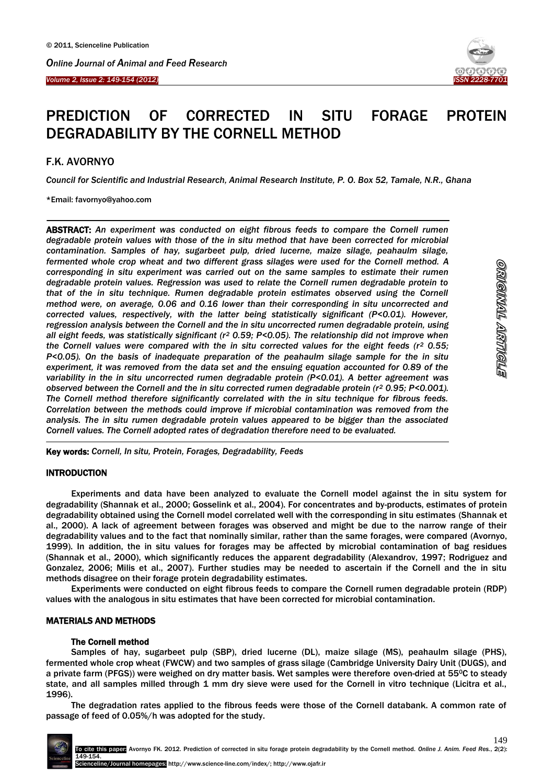



# PREDICTION OF CORRECTED IN SITU FORAGE PROTEIN DEGRADABILITY BY THE CORNELL METHOD

## F.K. AVORNYO

 $\overline{\phantom{a}}$ 

*Council for Scientific and Industrial Research, Animal Research Institute, P. O. Box 52, Tamale, N.R., Ghana*

## \*Email: favornyo@yahoo.com

ABSTRACT: *An experiment was conducted on eight fibrous feeds to compare the Cornell rumen degradable protein values with those of the in situ method that have been corrected for microbial contamination. Samples of hay, sugarbeet pulp, dried lucerne, maize silage, peahaulm silage, fermented whole crop wheat and two different grass silages were used for the Cornell method. A corresponding in situ experiment was carried out on the same samples to estimate their rumen degradable protein values. Regression was used to relate the Cornell rumen degradable protein to that of the in situ technique. Rumen degradable protein estimates observed using the Cornell method were, on average, 0.06 and 0.16 lower than their corresponding in situ uncorrected and corrected values, respectively, with the latter being statistically significant (P<0.01). However, regression analysis between the Cornell and the in situ uncorrected rumen degradable protein, using all eight feeds, was statistically significant (r<sup>2</sup> 0.59; P<0.05). The relationship did not improve when the Cornell values were compared with the in situ corrected values for the eight feeds (r<sup>2</sup> 0.55; P<0.05). On the basis of inadequate preparation of the peahaulm silage sample for the in situ experiment, it was removed from the data set and the ensuing equation accounted for 0.89 of the variability in the in situ uncorrected rumen degradable protein (P<0.01). A better agreement was observed between the Cornell and the in situ corrected rumen degradable protein (r<sup>2</sup> 0.95; P<0.001). The Cornell method therefore significantly correlated with the in situ technique for fibrous feeds. Correlation between the methods could improve if microbial contamination was removed from the analysis. The in situ rumen degradable protein values appeared to be bigger than the associated Cornell values. The Cornell adopted rates of degradation therefore need to be evaluated.*

-Key words: *Cornell, In situ, Protein, Forages, Degradability, Feeds*

## INTRODUCTION

Experiments and data have been analyzed to evaluate the Cornell model against the in situ system for degradability (Shannak et al., 2000; Gosselink et al., 2004). For concentrates and by-products, estimates of protein degradability obtained using the Cornell model correlated well with the corresponding in situ estimates (Shannak et al., 2000). A lack of agreement between forages was observed and might be due to the narrow range of their degradability values and to the fact that nominally similar, rather than the same forages, were compared (Avornyo, 1999). In addition, the in situ values for forages may be affected by microbial contamination of bag residues (Shannak et al., 2000), which significantly reduces the apparent degradability (Alexandrov, 1997; Rodriguez and Gonzalez, 2006; Milis et al., 2007). Further studies may be needed to ascertain if the Cornell and the in situ methods disagree on their forage protein degradability estimates.

Experiments were conducted on eight fibrous feeds to compare the Cornell rumen degradable protein (RDP) values with the analogous in situ estimates that have been corrected for microbial contamination.

## MATERIALS AND METHODS

## The Cornell method

Samples of hay, sugarbeet pulp (SBP), dried lucerne (DL), maize silage (MS), peahaulm silage (PHS), fermented whole crop wheat (FWCW) and two samples of grass silage (Cambridge University Dairy Unit (DUGS), and a private farm (PFGS)) were weighed on dry matter basis. Wet samples were therefore oven-dried at 55°C to steady state, and all samples milled through 1 mm dry sieve were used for the Cornell in vitro technique (Licitra et al., 1996).

The degradation rates applied to the fibrous feeds were those of the Cornell databank. A common rate of passage of feed of 0.05%/h was adopted for the study.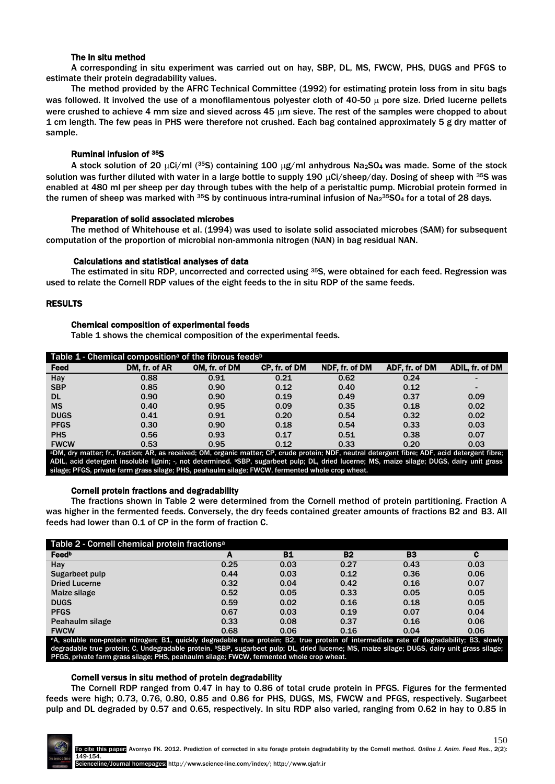## The in situ method

A corresponding in situ experiment was carried out on hay, SBP, DL, MS, FWCW, PHS, DUGS and PFGS to estimate their protein degradability values.

The method provided by the AFRC Technical Committee (1992) for estimating protein loss from in situ bags was followed. It involved the use of a monofilamentous polyester cloth of 40-50  $\mu$  pore size. Dried lucerne pellets were crushed to achieve 4 mm size and sieved across 45 um sieve. The rest of the samples were chopped to about 1 cm length. The few peas in PHS were therefore not crushed. Each bag contained approximately 5 g dry matter of sample.

## Ruminal infusion of 35S

A stock solution of 20  $\mu$ Ci/ml (35S) containing 100  $\mu$ g/ml anhydrous Na<sub>2</sub>SO<sub>4</sub> was made. Some of the stock solution was further diluted with water in a large bottle to supply 190  $\mu$ Ci/sheep/day. Dosing of sheep with <sup>35</sup>S was enabled at 480 ml per sheep per day through tubes with the help of a peristaltic pump. Microbial protein formed in the rumen of sheep was marked with  $35$ S by continuous intra-ruminal infusion of Na $_2$ 35SO<sub>4</sub> for a total of 28 days.

## Preparation of solid associated microbes

The method of Whitehouse et al. (1994) was used to isolate solid associated microbes (SAM) for subsequent computation of the proportion of microbial non-ammonia nitrogen (NAN) in bag residual NAN.

## Calculations and statistical analyses of data

The estimated in situ RDP, uncorrected and corrected using <sup>35</sup>S, were obtained for each feed. Regression was used to relate the Cornell RDP values of the eight feeds to the in situ RDP of the same feeds.

## RESULTS

## Chemical composition of experimental feeds

Table 1 shows the chemical composition of the experimental feeds.

| Table 1 - Chemical composition <sup>a</sup> of the fibrous feeds <sup>b</sup>                                                                                 |               |               |               |                |                |                 |
|---------------------------------------------------------------------------------------------------------------------------------------------------------------|---------------|---------------|---------------|----------------|----------------|-----------------|
| Feed                                                                                                                                                          | DM. fr. of AR | OM. fr. of DM | CP. fr. of DM | NDF. fr. of DM | ADF. fr. of DM | ADIL, fr. of DM |
| Hay                                                                                                                                                           | 0.88          | 0.91          | 0.21          | 0.62           | 0.24           |                 |
| <b>SBP</b>                                                                                                                                                    | 0.85          | 0.90          | 0.12          | 0.40           | 0.12           | -               |
| <b>DL</b>                                                                                                                                                     | 0.90          | 0.90          | 0.19          | 0.49           | 0.37           | 0.09            |
| <b>MS</b>                                                                                                                                                     | 0.40          | 0.95          | 0.09          | 0.35           | 0.18           | 0.02            |
| <b>DUGS</b>                                                                                                                                                   | 0.41          | 0.91          | 0.20          | 0.54           | 0.32           | 0.02            |
| <b>PFGS</b>                                                                                                                                                   | 0.30          | 0.90          | 0.18          | 0.54           | 0.33           | 0.03            |
| <b>PHS</b>                                                                                                                                                    | 0.56          | 0.93          | 0.17          | 0.51           | 0.38           | 0.07            |
| <b>FWCW</b><br>aDM ducunation for functions AD as vasational OM audents metter. OD autris nucleirs NDE northed determined filera. ADE anid determined filera. | 0.53          | 0.95          | 0.12          | 0.33           | 0.20           | 0.03            |

<sup>a</sup>DM, dry matter; fr., fraction; AR, as received; OM, organic matter; CP, crude protein; NDF, neutral detergent fibre; ADF, acid detergent fibre; ADIL, acid detergent insoluble lignin; -, not determined. <sup>b</sup>SBP, sugarbeet pulp; DL, dried lucerne; MS, maize silage; DUGS, dairy unit grass silage; PFGS, private farm grass silage; PHS, peahaulm silage; FWCW, fermented whole crop wheat.

## Cornell protein fractions and degradability

The fractions shown in Table 2 were determined from the Cornell method of protein partitioning. Fraction A was higher in the fermented feeds. Conversely, the dry feeds contained greater amounts of fractions B2 and B3. All feeds had lower than 0.1 of CP in the form of fraction C.

| Table 2 - Cornell chemical protein fractions <sup>a</sup>                                                                            |      |           |           |                |      |  |
|--------------------------------------------------------------------------------------------------------------------------------------|------|-----------|-----------|----------------|------|--|
| Feedb                                                                                                                                | А    | <b>B1</b> | <b>B2</b> | B <sub>3</sub> | с    |  |
| Hay                                                                                                                                  | 0.25 | 0.03      | 0.27      | 0.43           | 0.03 |  |
| Sugarbeet pulp                                                                                                                       | 0.44 | 0.03      | 0.12      | 0.36           | 0.06 |  |
| <b>Dried Lucerne</b>                                                                                                                 | 0.32 | 0.04      | 0.42      | 0.16           | 0.07 |  |
| Maize silage                                                                                                                         | 0.52 | 0.05      | 0.33      | 0.05           | 0.05 |  |
| <b>DUGS</b>                                                                                                                          | 0.59 | 0.02      | 0.16      | 0.18           | 0.05 |  |
| <b>PFGS</b>                                                                                                                          | 0.67 | 0.03      | 0.19      | 0.07           | 0.04 |  |
| Peahaulm silage                                                                                                                      | 0.33 | 0.08      | 0.37      | 0.16           | 0.06 |  |
| <b>FWCW</b>                                                                                                                          | 0.68 | 0.06      | 0.16      | 0.04           | 0.06 |  |
| a soluble non-protein nitrogen: B1 quickly degradable true protein: B2 true protein of intermediate rate of degradability: B3 slowly |      |           |           |                |      |  |

<sup>a</sup>A, soluble non-protein nitrogen; B1, quickly degradable true protein; B2, true protein of intermediate rate of degradability; B3, slowly degradable true protein; C, Undegradable protein. <sup>B</sup>SBP, sugarbeet pulp; DL, dried lucerne; MS, maize silage; DUGS, dairy unit grass silage; PFGS, private farm grass silage; PHS, peahaulm silage; FWCW, fermented whole crop wheat.

## Cornell versus in situ method of protein degradability

The Cornell RDP ranged from 0.47 in hay to 0.86 of total crude protein in PFGS. Figures for the fermented feeds were high; 0.73, 0.76, 0.80, 0.85 and 0.86 for PHS, DUGS, MS, FWCW and PFGS, respectively. Sugarbeet pulp and DL degraded by 0.57 and 0.65, respectively. In situ RDP also varied, ranging from 0.62 in hay to 0.85 in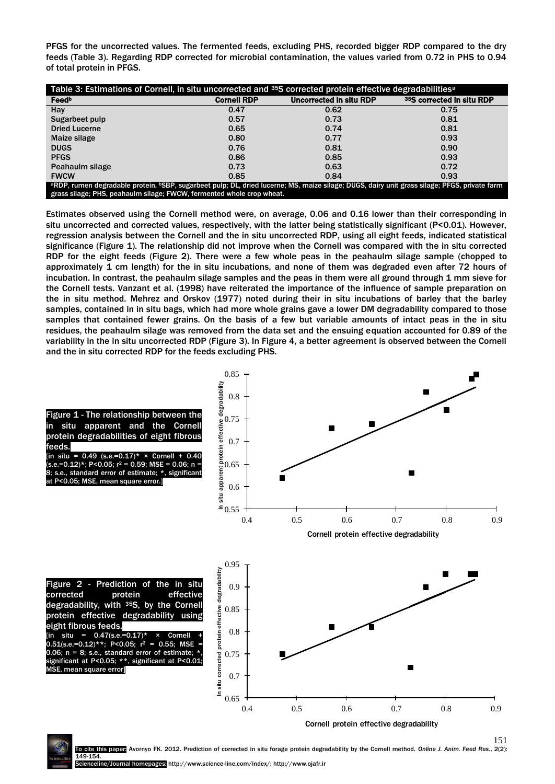PFGS for the uncorrected values. The fermented feeds, excluding PHS, recorded bigger RDP compared to the dry feeds (Table 3). Regarding RDP corrected for microbial contamination, the values varied from 0.72 in PHS to 0.94 of total protein in PFGS.

| Table 3: Estimations of Cornell, in situ uncorrected and 35S corrected protein effective degradabilities <sup>a</sup>                        |                    |                         |                           |  |  |  |  |
|----------------------------------------------------------------------------------------------------------------------------------------------|--------------------|-------------------------|---------------------------|--|--|--|--|
| Feedb                                                                                                                                        | <b>Cornell RDP</b> | Uncorrected in situ RDP | 35S corrected in situ RDP |  |  |  |  |
| Hay                                                                                                                                          | 0.47               | 0.62                    | 0.75                      |  |  |  |  |
| Sugarbeet pulp                                                                                                                               | 0.57               | 0.73                    | 0.81                      |  |  |  |  |
| <b>Dried Lucerne</b>                                                                                                                         | 0.65               | 0.74                    | 0.81                      |  |  |  |  |
| Maize silage                                                                                                                                 | 0.80               | 0.77                    | 0.93                      |  |  |  |  |
| <b>DUGS</b>                                                                                                                                  | 0.76               | 0.81                    | 0.90                      |  |  |  |  |
| <b>PFGS</b>                                                                                                                                  | 0.86               | 0.85                    | 0.93                      |  |  |  |  |
| Peahaulm silage                                                                                                                              | 0.73               | 0.63                    | 0.72                      |  |  |  |  |
| <b>FWCW</b>                                                                                                                                  | 0.85               | 0.84                    | 0.93                      |  |  |  |  |
| aRDP, rumen degradable protein. bSBP, sugarbeet pulp; DL, dried lucerne; MS, maize silage; DUGS, dairy unit grass silage; PFGS, private farm |                    |                         |                           |  |  |  |  |
| grass silage; PHS, peahaulm silage; FWCW, fermented whole crop wheat.                                                                        |                    |                         |                           |  |  |  |  |

Estimates observed using the Cornell method were, on average, 0.06 and 0.16 lower than their corresponding in situ uncorrected and corrected values, respectively, with the latter being statistically significant (P<0.01). However, regression analysis between the Cornell and the in situ uncorrected RDP, using all eight feeds, indicated statistical significance (Figure 1). The relationship did not improve when the Cornell was compared with the in situ corrected RDP for the eight feeds (Figure 2). There were a few whole peas in the peahaulm silage sample (chopped to approximately 1 cm length) for the in situ incubations, and none of them was degraded even after 72 hours of incubation. In contrast, the peahaulm silage samples and the peas in them were all ground through 1 mm sieve for the Cornell tests. Vanzant et al. (1998) have reiterated the importance of the influence of sample preparation on the in situ method. Mehrez and Orskov (1977) noted during their in situ incubations of barley that the barley samples, contained in in situ bags, which had more whole grains gave a lower DM degradability compared to those samples that contained fewer grains. On the basis of a few but variable amounts of intact peas in the in situ residues, the peahaulm silage was removed from the data set and the ensuing equation accounted for 0.89 of the variability in the in situ uncorrected RDP (Figure 3). In Figure 4, a better agreement is observed between the Cornell and the in situ corrected RDP for the feeds excluding PHS.



Avornyo FK. 2012. Prediction of corrected in situ forage protein degradability by the Cornell method. Online J. Anim. Feed Res., 2(2): 149-154. al homepages: http://www.science-line.com/index/; http://www.ojafr.ir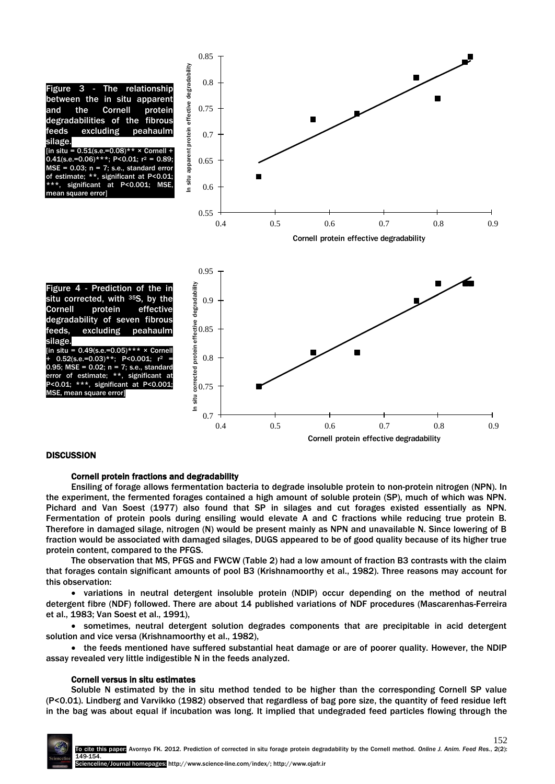

## **DISCUSSION**

#### Cornell protein fractions and degradability

Ensiling of forage allows fermentation bacteria to degrade insoluble protein to non-protein nitrogen (NPN). In the experiment, the fermented forages contained a high amount of soluble protein (SP), much of which was NPN. Pichard and Van Soest (1977) also found that SP in silages and cut forages existed essentially as NPN. Fermentation of protein pools during ensiling would elevate A and C fractions while reducing true protein B. Therefore in damaged silage, nitrogen (N) would be present mainly as NPN and unavailable N. Since lowering of B fraction would be associated with damaged silages, DUGS appeared to be of good quality because of its higher true protein content, compared to the PFGS.

The observation that MS, PFGS and FWCW (Table 2) had a low amount of fraction B3 contrasts with the claim that forages contain significant amounts of pool B3 (Krishnamoorthy et al., 1982). Three reasons may account for this observation:

 variations in neutral detergent insoluble protein (NDIP) occur depending on the method of neutral detergent fibre (NDF) followed. There are about 14 published variations of NDF procedures (Mascarenhas-Ferreira et al., 1983; Van Soest et al., 1991),

 sometimes, neutral detergent solution degrades components that are precipitable in acid detergent solution and vice versa (Krishnamoorthy et al., 1982),

• the feeds mentioned have suffered substantial heat damage or are of poorer quality. However, the NDIP assay revealed very little indigestible N in the feeds analyzed.

#### Cornell versus in situ estimates

Soluble N estimated by the in situ method tended to be higher than the corresponding Cornell SP value (P<0.01). Lindberg and Varvikko (1982) observed that regardless of bag pore size, the quantity of feed residue left in the bag was about equal if incubation was long. It implied that undegraded feed particles flowing through the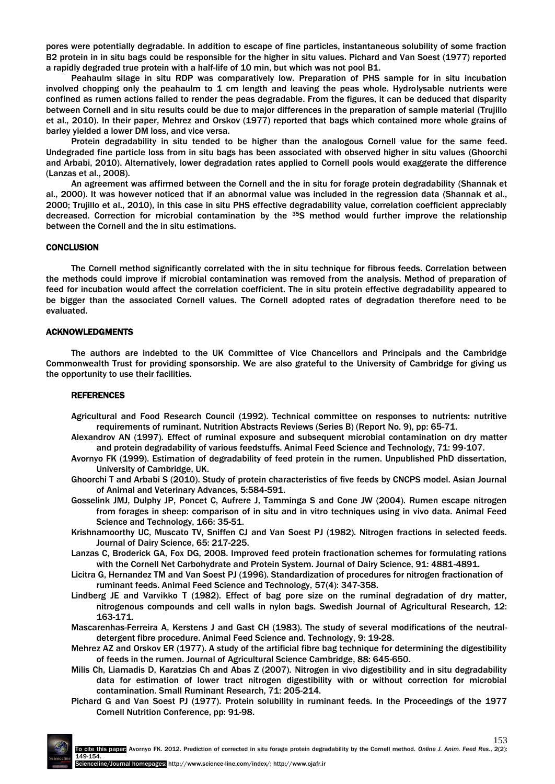pores were potentially degradable. In addition to escape of fine particles, instantaneous solubility of some fraction B2 protein in in situ bags could be responsible for the higher in situ values. Pichard and Van Soest (1977) reported a rapidly degraded true protein with a half-life of 10 min, but which was not pool B1.

Peahaulm silage in situ RDP was comparatively low. Preparation of PHS sample for in situ incubation involved chopping only the peahaulm to 1 cm length and leaving the peas whole. Hydrolysable nutrients were confined as rumen actions failed to render the peas degradable. From the figures, it can be deduced that disparity between Cornell and in situ results could be due to major differences in the preparation of sample material (Trujillo et al., 2010). In their paper, Mehrez and Orskov (1977) reported that bags which contained more whole grains of barley yielded a lower DM loss, and vice versa.

Protein degradability in situ tended to be higher than the analogous Cornell value for the same feed. Undegraded fine particle loss from in situ bags has been associated with observed higher in situ values (Ghoorchi and Arbabi, 2010). Alternatively, lower degradation rates applied to Cornell pools would exaggerate the difference (Lanzas et al., 2008).

An agreement was affirmed between the Cornell and the in situ for forage protein degradability (Shannak et al., 2000). It was however noticed that if an abnormal value was included in the regression data (Shannak et al., 2000; Trujillo et al., 2010), in this case in situ PHS effective degradability value, correlation coefficient appreciably decreased. Correction for microbial contamination by the <sup>35</sup>S method would further improve the relationship between the Cornell and the in situ estimations.

## **CONCLUSION**

The Cornell method significantly correlated with the in situ technique for fibrous feeds. Correlation between the methods could improve if microbial contamination was removed from the analysis. Method of preparation of feed for incubation would affect the correlation coefficient. The in situ protein effective degradability appeared to be bigger than the associated Cornell values. The Cornell adopted rates of degradation therefore need to be evaluated.

#### ACKNOWLEDGMENTS

The authors are indebted to the UK Committee of Vice Chancellors and Principals and the Cambridge Commonwealth Trust for providing sponsorship. We are also grateful to the University of Cambridge for giving us the opportunity to use their facilities.

#### REFERENCES

- Agricultural and Food Research Council (1992). Technical committee on responses to nutrients: nutritive requirements of ruminant. Nutrition Abstracts Reviews (Series B) (Report No. 9), pp: 65-71.
- Alexandrov AN (1997). Effect of ruminal exposure and subsequent microbial contamination on dry matter and protein degradability of various feedstuffs. Animal Feed Science and Technology, 71: 99-107.
- Avornyo FK (1999). Estimation of degradability of feed protein in the rumen. Unpublished PhD dissertation, University of Cambridge, UK.
- Ghoorchi T and Arbabi S (2010). Study of protein characteristics of five feeds by CNCPS model. Asian Journal of Animal and Veterinary Advances, 5:584-591.
- Gosselink JMJ, Dulphy JP, Poncet C, Aufrere J, Tamminga S and Cone JW (2004). Rumen escape nitrogen from forages in sheep: comparison of in situ and in vitro techniques using in vivo data. Animal Feed Science and Technology, 166: 35-51.
- Krishnamoorthy UC, Muscato TV, Sniffen CJ and Van Soest PJ (1982). Nitrogen fractions in selected feeds. Journal of Dairy Science, 65: 217-225.
- Lanzas C, Broderick GA, Fox DG, 2008. Improved feed protein fractionation schemes for formulating rations with the Cornell Net Carbohydrate and Protein System. Journal of Dairy Science, 91: 4881-4891.
- Licitra G, Hernandez TM and Van Soest PJ (1996). Standardization of procedures for nitrogen fractionation of ruminant feeds. Animal Feed Science and Technology, 57(4): 347-358.
- Lindberg JE and Varvikko T (1982). Effect of bag pore size on the ruminal degradation of dry matter, nitrogenous compounds and cell walls in nylon bags. Swedish Journal of Agricultural Research, 12: 163-171.
- Mascarenhas-Ferreira A, Kerstens J and Gast CH (1983). The study of several modifications of the neutraldetergent fibre procedure. Animal Feed Science and. Technology, 9: 19-28.
- Mehrez AZ and Orskov ER (1977). A study of the artificial fibre bag technique for determining the digestibility of feeds in the rumen. Journal of Agricultural Science Cambridge, 88: 645-650.
- Milis Ch, Liamadis D, Karatzias Ch and Abas Z (2007). Nitrogen in vivo digestibility and in situ degradability data for estimation of lower tract nitrogen digestibility with or without correction for microbial contamination. Small Ruminant Research, 71: 205-214.
- Pichard G and Van Soest PJ (1977). Protein solubility in ruminant feeds. In the Proceedings of the 1977 Cornell Nutrition Conference, pp: 91-98.